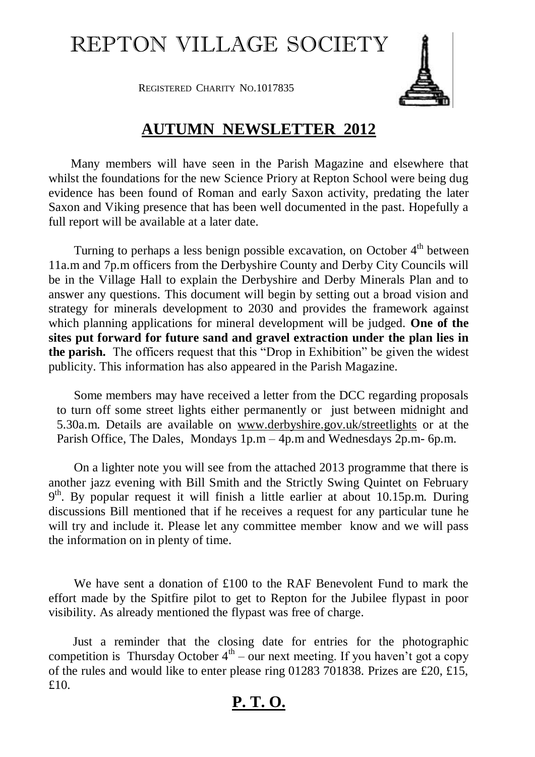## REPTON VILLAGE SOCIETY

REGISTERED CHARITY NO.1017835

## **AUTUMN NEWSLETTER 2012**

 Many members will have seen in the Parish Magazine and elsewhere that whilst the foundations for the new Science Priory at Repton School were being dug evidence has been found of Roman and early Saxon activity, predating the later Saxon and Viking presence that has been well documented in the past. Hopefully a full report will be available at a later date.

Turning to perhaps a less benign possible excavation, on October  $4<sup>th</sup>$  between 11a.m and 7p.m officers from the Derbyshire County and Derby City Councils will be in the Village Hall to explain the Derbyshire and Derby Minerals Plan and to answer any questions. This document will begin by setting out a broad vision and strategy for minerals development to 2030 and provides the framework against which planning applications for mineral development will be judged. **One of the sites put forward for future sand and gravel extraction under the plan lies in the parish.** The officers request that this "Drop in Exhibition" be given the widest publicity. This information has also appeared in the Parish Magazine.

 Some members may have received a letter from the DCC regarding proposals to turn off some street lights either permanently or just between midnight and 5.30a.m. Details are available on [www.derbyshire.gov.uk/streetlights](http://www.derbyshire.gov.uk/streetlights) or at the Parish Office, The Dales, Mondays 1p.m – 4p.m and Wednesdays 2p.m- 6p.m.

 On a lighter note you will see from the attached 2013 programme that there is another jazz evening with Bill Smith and the Strictly Swing Quintet on February 9<sup>th</sup>. By popular request it will finish a little earlier at about 10.15p.m. During discussions Bill mentioned that if he receives a request for any particular tune he will try and include it. Please let any committee member know and we will pass the information on in plenty of time.

 We have sent a donation of £100 to the RAF Benevolent Fund to mark the effort made by the Spitfire pilot to get to Repton for the Jubilee flypast in poor visibility. As already mentioned the flypast was free of charge.

 Just a reminder that the closing date for entries for the photographic competition is Thursday October  $4<sup>th</sup>$  – our next meeting. If you haven't got a copy of the rules and would like to enter please ring 01283 701838. Prizes are £20, £15, £10.

## **P. T. O.**